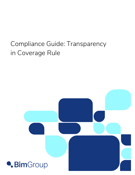# Compliance Guide: Transparency in Coverage Rule

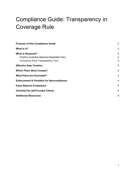# Compliance Guide: Transparency in Coverage Rule

| <b>Purpose of this Compliance Guide</b>                                                                                 | 2                        |
|-------------------------------------------------------------------------------------------------------------------------|--------------------------|
| What Is It?                                                                                                             | $\overline{2}$           |
| <b>What is Required?</b><br><b>Publicly Available Machine-Readable Files</b><br><b>Consumer Price Transparency Tool</b> | $\overline{2}$<br>2<br>3 |
| <b>Effective Date Timeline</b>                                                                                          | 3                        |
| <b>Which Plans Must Comply?</b>                                                                                         | 4                        |
| <b>What Plans Are Excluded?</b>                                                                                         | 4                        |
| <b>Enforcement &amp; Penalties for Noncompliance</b>                                                                    | 4                        |
| <b>Value Beyond Compliance</b>                                                                                          | 5                        |
| <b>Checklist for Self-Funded Clients</b>                                                                                | 5                        |
| <b>Additional Resources</b>                                                                                             | 6                        |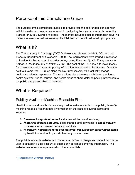## Purpose of this Compliance Guide

The purpose of this compliance guide is to provide you, the self-funded plan sponsor, with information and resources to assist in navigating the new requirements under the Transparency in Coverage final rule. The manual includes detailed information covering the requirements as well as an easy checklist that can be utilized to help you prepare.

### What **Is** It?

The Transparency in Coverage (TIC)<sup>1</sup> final rule was released by HHS, DOL and the Treasury Department on October 29, 2020. The requirements were issued in response to President's Trump executive order on *Improving Price and Quality Transparency in American Healthcare to Put Patients First*. The goal of the TIC rules is to make it easy for consumers to find accurate pricing information related to their healthcare. Over the next four years, the TIC rules along the No Surprises Act, will drastically change healthcare price transparency. The regulations place the responsibility on providers, health systems, health insurers, and health plans to share detailed pricing information to the public and personalized to members.

### What is Required?

#### Publicly Available Machine-Readable Files

Health insurers and health plans are required to make available to the public, three (3) machine-readable files that detail information on the costs of covered items and services:

- 1. *In-network negotiated rates* for all covered items and services;
- 2. *Historical allowed amounts,* billed charges, and payments to *out-of-network providers* for all covered items and services;
- 3. *In-network negotiated rates and historical net prices for prescription drugs* by health insurer/health plan at pharmacy location level.

The publicly available website must be accessible free of charge and cannot require the user to establish a user account or submit any personal identifying information. The website cannot require a password or other credentials.

<sup>1</sup> Transparency in Coverage Final Rule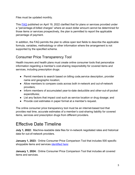Files must be updated monthly.

This FAQ published on April 19, 2022 clarified that for plans or services provided under a "percentage-of-billed charges" where an exact dollar amount cannot be determined for those items or services prospectively, the plan is permitted to report the applicable percentage of payment.

In addition, the FAQ permits the plan to utilize open text fields to describe the applicable formula, variables, methodology or other information where the arrangement is not supported by the specified schema.

#### Consumer Price Transparency Tool

Health insurers and health plans must create online consumer tools that personalize information regarding a member's cost-sharing responsibility for covered items and services, including prescription drugs:

- Permit members to search based on billing code, service description, provider name and geographic location;
- Allow members to compare costs across both in-network and out-of-network providers;
- Inform members of accumulated year-to-date deductible and other-out-of-pocket expenditures;
- List any factors that impact cost such as service location or drug dosage; and
- Provide cost estimates in paper format at a member's request.

The online consumer price transparency tool must be an internet-based tool that provides real time, accurate estimates of a member's cost-sharing liability for covered items, services and prescription drugs from different providers.

#### Effective Date Timeline

**July 1, 2022:** Machine-readable data files for in-network negotiated rates and historical data for out-of-network providers.

**January 1, 2023:** Online Consumer Price Comparison Tool that includes 500 specific shoppable items and services identified here:

**January 1, 2024:** Online Consumer Price Comparison Tool that includes all covered items and services.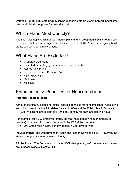**Delayed Pending Rulemaking:** Machine-readable data files for in-network negotiated rates and historic net prices for prescription drugs.

#### Which Plans Must Comply?

The final rules apply to all individual health plans and all group health plans regardless of their size or funding arrangement. This includes non-ERISA self-funded group health plans, subject to certain exceptions.

#### What Plans Are Excluded?

- Grandfathered Plans
- Excepted Benefits (e.g., standalone vision, dental)
- Retiree Only Plans
- Short-Term Limited Duration Plans
- FSA, HRA, HSA
- Medicare
- Medicaid

#### Enforcement & Penalties for Noncompliance

#### **Potential Penalties: High**

Although the final rule does not reflect specific penalties for noncompliance, rulemaking authority comes from the Affordable Care Act (ACA) and the Public Health Service Act (PHSA). Violations are subject to \$100 a day penalty for each affected individual.

For example, for a 200 employee group, the maximum penalty (though unlikely in practice) for a year of noncompliance could be \$7.3 Million per year.

● 200 Employees X \$100 per day penalty X 365 days per year

**Insured Plans:** The Department of Health and Human Services (HHS). However, the states have primary enforcement authority.

**ERISA Plans:** The Department of Labor (DOL) has primary enforcement authority over group health plans subject to ERISA.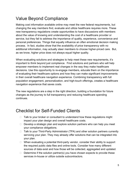## Value Beyond Compliance

Making cost information available online may meet the new federal requirements, but changing the way members find, evaluate and utilize healthcare requires more. These new transparency regulations create opportunities to have discussions with members about the value of knowing and understanding the cost of a healthcare provider or service, but they fail to address the importance of quality, experience, convenience and personal preferences. Things that equally influence an often emotional decision making process. In fact, studies show that the availability of price transparency with no additional information, may actually steer members to choose higher-priced care. But, as we know, higher price does not always equal higher quality.

When evaluating solutions and strategies to help meet these new requirements, it's important to think beyond just compliance. Find solutions and partners who will help empower members to implement real changes in the way they make healthcare decisions. Use this opportunity to re-engage members, educate them on the importance of evaluating their healthcare options and how they can make significant improvements in their overall healthcare navigation experience. Combining transparency with full population engagement, personalization, and high-touch offerings, creates a healthcare navigation experience that saves costs.

The new regulations are a step in the right direction, building a foundation for future changes as the journey to full transparency and reducing healthcare spending continues.

#### Checklist for Self-Funded Clients

- $\Box$  Talk to your broker or consultant to understand how these regulations might impact your plan design and overall healthcare costs.
- $\Box$  Develop a strategic plan and explore solution partners who can help you meet your compliance obligations.
- □ Talk to your Third-Party Administrator (TPA) and other solution partners currently servicing your plan. They may already offer solutions that can be integrated into your plan.
- $\Box$  When evaluating a potential third-party vendor, consider their ability to support the required public data files and online tools. Consider how many different sources of data exist and how those will be collected, aggregated and updated.
- $\Box$  Determine if the solution partner(s) you have chosen expects to provide these services in-house or utilize outside subcontractors.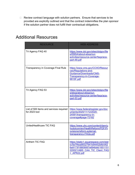□ Review contract language with solution partners. Ensure that services to be provided are explicitly outlined and that the contract indemnifies the plan sponsor if the solution partner does not fulfill their contractual obligations.

| <b>RESOURCE</b>                                          | <b>WEB ADDRESS</b>                                                                                                                                         |
|----------------------------------------------------------|------------------------------------------------------------------------------------------------------------------------------------------------------------|
| Tri Agency FAQ 40                                        | https://www.dol.gov/sites/dolgov/file<br>s/EBSA/about-ebsa/our-<br>activities/resource-center/faqs/aca-<br>part-49.pdf                                     |
| <b>Transparency in Coverage Final Rule</b>               | https://www.cms.gov/CCIIO/Resour<br>ces/Regulations-and-<br>Guidance/Downloads/CMS-<br>Transparency-in-Coverage-<br>9915F.pdf                              |
| Tri Agency FAQ 53                                        | https://www.dol.gov/sites/dolgov/file<br>s/ebsa/about-ebsa/our-<br>activities/resource-center/faqs/aca-<br>part-53.pdf                                     |
| List of 500 items and services required<br>for 2023 tool | https://www.federalregister.gov/doc<br>uments/2020/11/12/2020-<br>24591/transparency-in-<br>coverage#page-72182                                            |
| UnitedHealthcare TIC FAQ                                 | https://www.uhc.com/content/dam/u<br>hcdotcom/en/HealthReform/PDF/Pr<br>ovisions/reform-external-<br>transparancy-FAQs.pdf                                 |
| Anthem TIC FAQ                                           | https://static1.squarespace.com/stat<br>ic/5e7f4ea99327941b94452bfb/t/62<br>6a9173f18809067e694bb6/1651151<br>220021/ABS CAA TIC Client FAQ<br>+ APR22.pdf |

#### Additional Resources